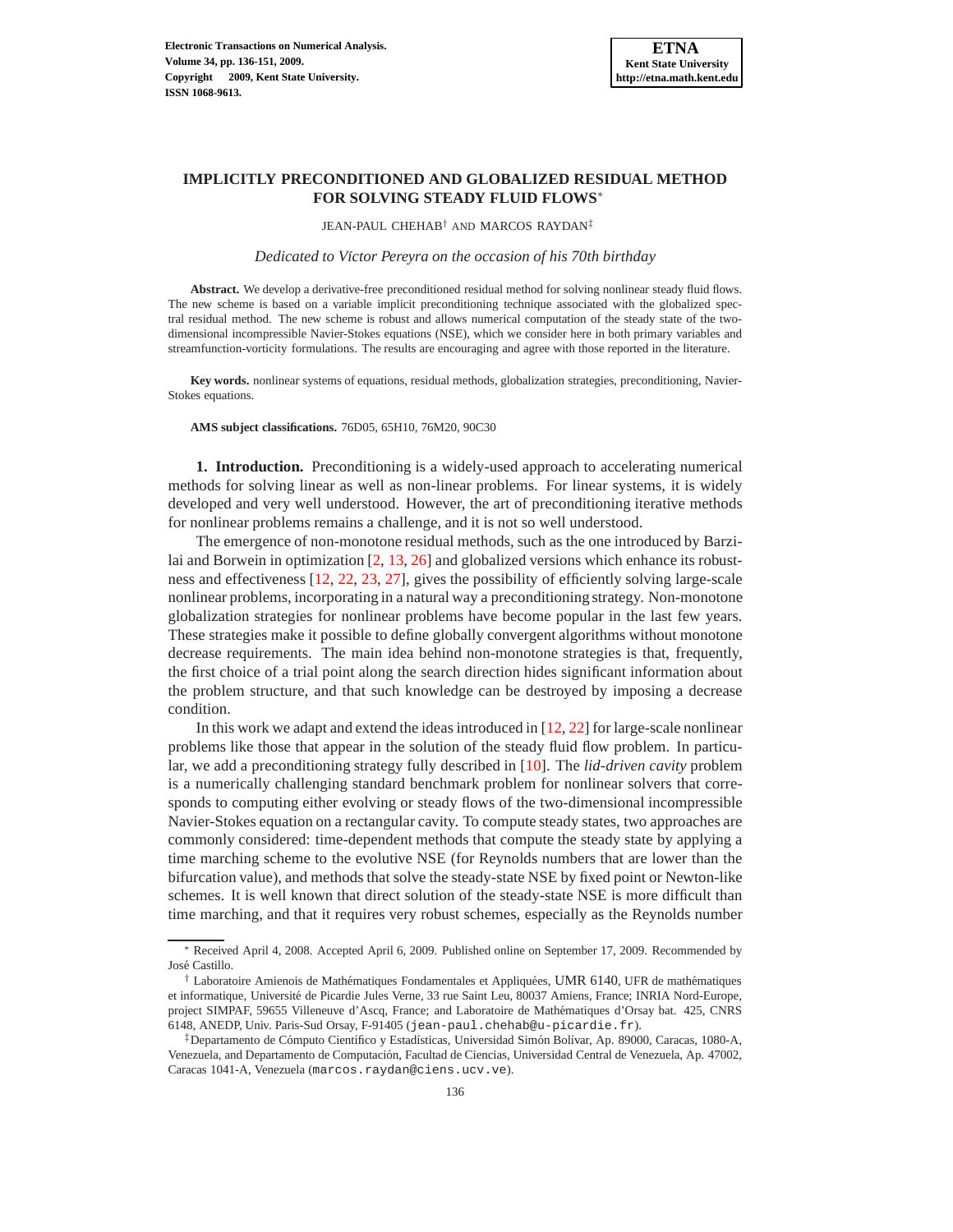# **IMPLICITLY PRECONDITIONED AND GLOBALIZED RESIDUAL METHOD FOR SOLVING STEADY FLUID FLOWS**<sup>∗</sup>

JEAN-PAUL CHEHAB† AND MARCOS RAYDAN‡

*Dedicated to V´ıctor Pereyra on the occasion of his 70th birthday*

**Abstract.** We develop a derivative-free preconditioned residual method for solving nonlinear steady fluid flows. The new scheme is based on a variable implicit preconditioning technique associated with the globalized spectral residual method. The new scheme is robust and allows numerical computation of the steady state of the twodimensional incompressible Navier-Stokes equations (NSE), which we consider here in both primary variables and streamfunction-vorticity formulations. The results are encouraging and agree with those reported in the literature.

**Key words.** nonlinear systems of equations, residual methods, globalization strategies, preconditioning, Navier-Stokes equations.

**AMS subject classifications.** 76D05, 65H10, 76M20, 90C30

**1. Introduction.** Preconditioning is a widely-used approach to accelerating numerical methods for solving linear as well as non-linear problems. For linear systems, it is widely developed and very well understood. However, the art of preconditioning iterative methods for nonlinear problems remains a challenge, and it is not so well understood.

The emergence of non-monotone residual methods, such as the one introduced by Barzi-lai and Borwein in optimization [\[2,](#page-14-0) [13,](#page-15-0) [26](#page-15-1)] and globalized versions which enhance its robustness and effectiveness [\[12](#page-15-2), [22](#page-15-3), [23,](#page-15-4) [27\]](#page-15-5), gives the possibility of efficiently solving large-scale nonlinear problems, incorporating in a natural way a preconditioning strategy. Non-monotone globalization strategies for nonlinear problems have become popular in the last few years. These strategies make it possible to define globally convergent algorithms without monotone decrease requirements. The main idea behind non-monotone strategies is that, frequently, the first choice of a trial point along the search direction hides significant information about the problem structure, and that such knowledge can be destroyed by imposing a decrease condition.

In this work we adapt and extend the ideas introduced in [\[12](#page-15-2), [22\]](#page-15-3) for large-scale nonlinear problems like those that appear in the solution of the steady fluid flow problem. In particular, we add a preconditioning strategy fully described in [\[10\]](#page-15-6). The *lid-driven cavity* problem is a numerically challenging standard benchmark problem for nonlinear solvers that corresponds to computing either evolving or steady flows of the two-dimensional incompressible Navier-Stokes equation on a rectangular cavity. To compute steady states, two approaches are commonly considered: time-dependent methods that compute the steady state by applying a time marching scheme to the evolutive NSE (for Reynolds numbers that are lower than the bifurcation value), and methods that solve the steady-state NSE by fixed point or Newton-like schemes. It is well known that direct solution of the steady-state NSE is more difficult than time marching, and that it requires very robust schemes, especially as the Reynolds number

<sup>∗</sup> Received April 4, 2008. Accepted April 6, 2009. Published online on September 17, 2009. Recommended by José Castillo.

<sup>&</sup>lt;sup> $\dagger$ </sup> Laboratoire Amienois de Mathématiques Fondamentales et Appliquées, UMR 6140, UFR de mathématiques et informatique, Université de Picardie Jules Verne, 33 rue Saint Leu, 80037 Amiens, France; INRIA Nord-Europe, project SIMPAF, 59655 Villeneuve d'Ascq, France; and Laboratoire de Mathématiques d'Orsay bat. 425, CNRS 6148, ANEDP, Univ. Paris-Sud Orsay, F-91405 (jean-paul.chehab@u-picardie.fr).

<sup>&</sup>lt;sup>‡</sup>Departamento de Cómputo Científico y Estadísticas, Universidad Simón Bolívar, Ap. 89000, Caracas, 1080-A, Venezuela, and Departamento de Computación, Facultad de Ciencias, Universidad Central de Venezuela, Ap. 47002, Caracas 1041-A, Venezuela (marcos.raydan@ciens.ucv.ve).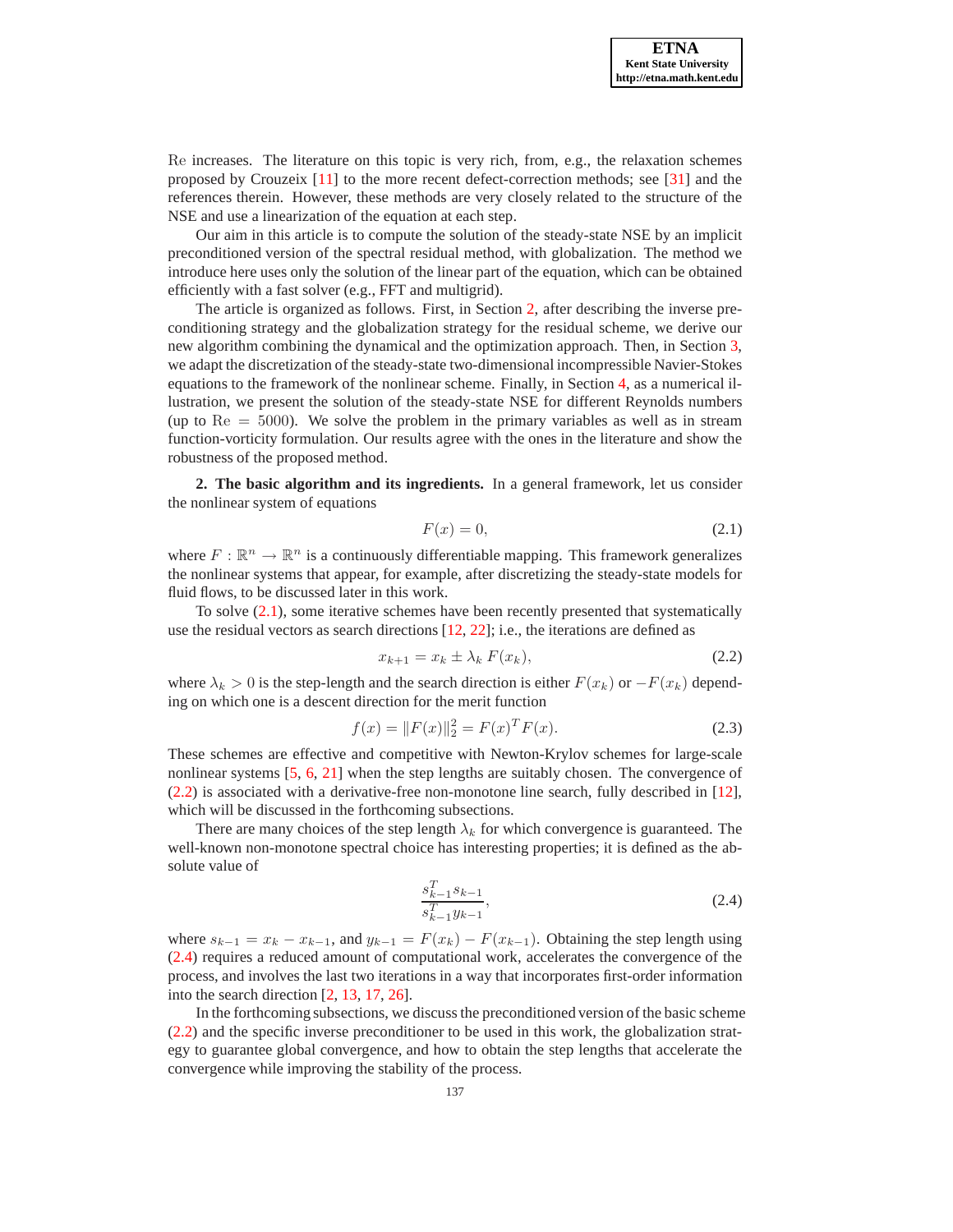Re increases. The literature on this topic is very rich, from, e.g., the relaxation schemes proposed by Crouzeix [\[11](#page-15-7)] to the more recent defect-correction methods; see [\[31](#page-15-8)] and the references therein. However, these methods are very closely related to the structure of the NSE and use a linearization of the equation at each step.

Our aim in this article is to compute the solution of the steady-state NSE by an implicit preconditioned version of the spectral residual method, with globalization. The method we introduce here uses only the solution of the linear part of the equation, which can be obtained efficiently with a fast solver (e.g., FFT and multigrid).

The article is organized as follows. First, in Section [2,](#page-1-0) after describing the inverse preconditioning strategy and the globalization strategy for the residual scheme, we derive our new algorithm combining the dynamical and the optimization approach. Then, in Section [3,](#page-6-0) we adapt the discretization of the steady-state two-dimensional incompressible Navier-Stokes equations to the framework of the nonlinear scheme. Finally, in Section [4,](#page-9-0) as a numerical illustration, we present the solution of the steady-state NSE for different Reynolds numbers (up to  $\text{Re} = 5000$ ). We solve the problem in the primary variables as well as in stream function-vorticity formulation. Our results agree with the ones in the literature and show the robustness of the proposed method.

<span id="page-1-0"></span>**2. The basic algorithm and its ingredients.** In a general framework, let us consider the nonlinear system of equations

<span id="page-1-1"></span>
$$
F(x) = 0,\t\t(2.1)
$$

where  $F: \mathbb{R}^n \to \mathbb{R}^n$  is a continuously differentiable mapping. This framework generalizes the nonlinear systems that appear, for example, after discretizing the steady-state models for fluid flows, to be discussed later in this work.

To solve [\(2.1\)](#page-1-1), some iterative schemes have been recently presented that systematically use the residual vectors as search directions [\[12](#page-15-2), [22](#page-15-3)]; i.e., the iterations are defined as

<span id="page-1-2"></span>
$$
x_{k+1} = x_k \pm \lambda_k \ F(x_k), \tag{2.2}
$$

where  $\lambda_k > 0$  is the step-length and the search direction is either  $F(x_k)$  or  $-F(x_k)$  depending on which one is a descent direction for the merit function

$$
f(x) = ||F(x)||_2^2 = F(x)^T F(x).
$$
 (2.3)

These schemes are effective and competitive with Newton-Krylov schemes for large-scale nonlinear systems [\[5](#page-14-1), [6,](#page-14-2) [21](#page-15-9)] when the step lengths are suitably chosen. The convergence of [\(2.2\)](#page-1-2) is associated with a derivative-free non-monotone line search, fully described in [\[12](#page-15-2)], which will be discussed in the forthcoming subsections.

There are many choices of the step length  $\lambda_k$  for which convergence is guaranteed. The well-known non-monotone spectral choice has interesting properties; it is defined as the absolute value of

<span id="page-1-3"></span>
$$
\frac{s_{k-1}^T s_{k-1}}{s_{k-1}^T y_{k-1}},\tag{2.4}
$$

where  $s_{k-1} = x_k - x_{k-1}$ , and  $y_{k-1} = F(x_k) - F(x_{k-1})$ . Obtaining the step length using [\(2.4\)](#page-1-3) requires a reduced amount of computational work, accelerates the convergence of the process, and involves the last two iterations in a way that incorporates first-order information into the search direction [\[2,](#page-14-0) [13,](#page-15-0) [17,](#page-15-10) [26\]](#page-15-1).

In the forthcoming subsections, we discuss the preconditioned version of the basic scheme [\(2.2\)](#page-1-2) and the specific inverse preconditioner to be used in this work, the globalization strategy to guarantee global convergence, and how to obtain the step lengths that accelerate the convergence while improving the stability of the process.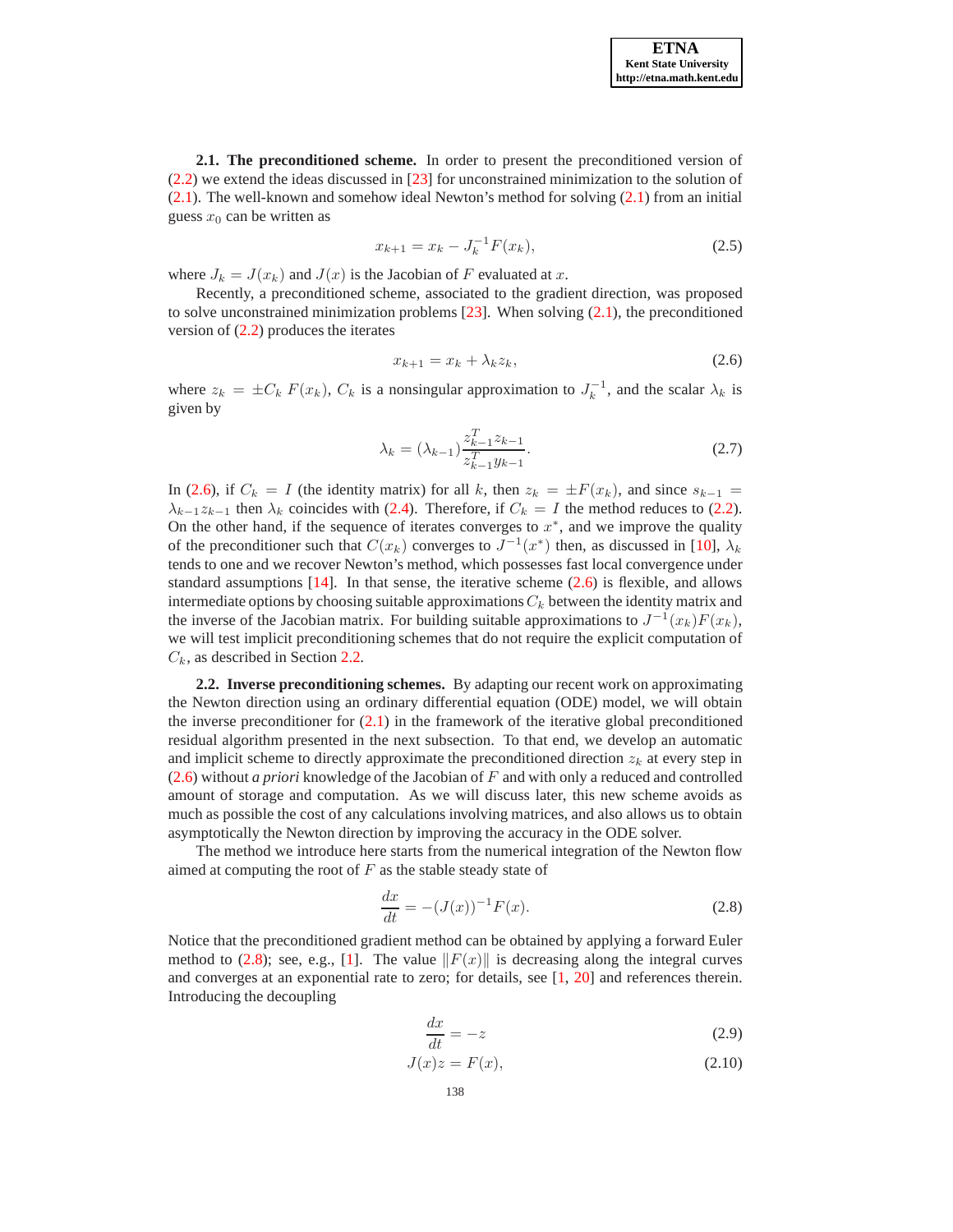**2.1. The preconditioned scheme.** In order to present the preconditioned version of [\(2.2\)](#page-1-2) we extend the ideas discussed in [\[23\]](#page-15-4) for unconstrained minimization to the solution of [\(2.1\)](#page-1-1). The well-known and somehow ideal Newton's method for solving [\(2.1\)](#page-1-1) from an initial guess  $x_0$  can be written as

$$
x_{k+1} = x_k - J_k^{-1} F(x_k), \tag{2.5}
$$

where  $J_k = J(x_k)$  and  $J(x)$  is the Jacobian of F evaluated at x.

Recently, a preconditioned scheme, associated to the gradient direction, was proposed to solve unconstrained minimization problems  $[23]$ . When solving  $(2.1)$ , the preconditioned version of [\(2.2\)](#page-1-2) produces the iterates

<span id="page-2-0"></span>
$$
x_{k+1} = x_k + \lambda_k z_k, \tag{2.6}
$$

where  $z_k = \pm C_k F(x_k)$ ,  $C_k$  is a nonsingular approximation to  $J_k^{-1}$ , and the scalar  $\lambda_k$  is given by

$$
\lambda_k = (\lambda_{k-1}) \frac{z_{k-1}^T z_{k-1}}{z_{k-1}^T y_{k-1}}.
$$
\n(2.7)

In [\(2.6\)](#page-2-0), if  $C_k = I$  (the identity matrix) for all k, then  $z_k = \pm F(x_k)$ , and since  $s_{k-1} =$  $\lambda_{k-1}z_{k-1}$  then  $\lambda_k$  coincides with [\(2.4\)](#page-1-3). Therefore, if  $C_k = I$  the method reduces to [\(2.2\)](#page-1-2). On the other hand, if the sequence of iterates converges to  $x^*$ , and we improve the quality of the preconditioner such that  $C(x_k)$  converges to  $J^{-1}(x^*)$  then, as discussed in [\[10](#page-15-6)],  $\lambda_k$ tends to one and we recover Newton's method, which possesses fast local convergence under standard assumptions  $[14]$ . In that sense, the iterative scheme  $(2.6)$  is flexible, and allows intermediate options by choosing suitable approximations  $C_k$  between the identity matrix and the inverse of the Jacobian matrix. For building suitable approximations to  $J^{-1}(x_k)F(x_k)$ , we will test implicit preconditioning schemes that do not require the explicit computation of  $C_k$ , as described in Section [2.2.](#page-2-1)

<span id="page-2-1"></span>**2.2. Inverse preconditioning schemes.** By adapting our recent work on approximating the Newton direction using an ordinary differential equation (ODE) model, we will obtain the inverse preconditioner for  $(2.1)$  in the framework of the iterative global preconditioned residual algorithm presented in the next subsection. To that end, we develop an automatic and implicit scheme to directly approximate the preconditioned direction  $z_k$  at every step in [\(2.6\)](#page-2-0) without *a priori* knowledge of the Jacobian of F and with only a reduced and controlled amount of storage and computation. As we will discuss later, this new scheme avoids as much as possible the cost of any calculations involving matrices, and also allows us to obtain asymptotically the Newton direction by improving the accuracy in the ODE solver.

The method we introduce here starts from the numerical integration of the Newton flow aimed at computing the root of  $F$  as the stable steady state of

<span id="page-2-2"></span>
$$
\frac{dx}{dt} = -(J(x))^{-1}F(x). \tag{2.8}
$$

Notice that the preconditioned gradient method can be obtained by applying a forward Euler method to [\(2.8\)](#page-2-2); see, e.g., [\[1\]](#page-14-3). The value  $||F(x)||$  is decreasing along the integral curves and converges at an exponential rate to zero; for details, see [\[1](#page-14-3), [20\]](#page-15-12) and references therein. Introducing the decoupling

$$
\frac{dx}{dt} = -z\tag{2.9}
$$

$$
J(x)z = F(x),\tag{2.10}
$$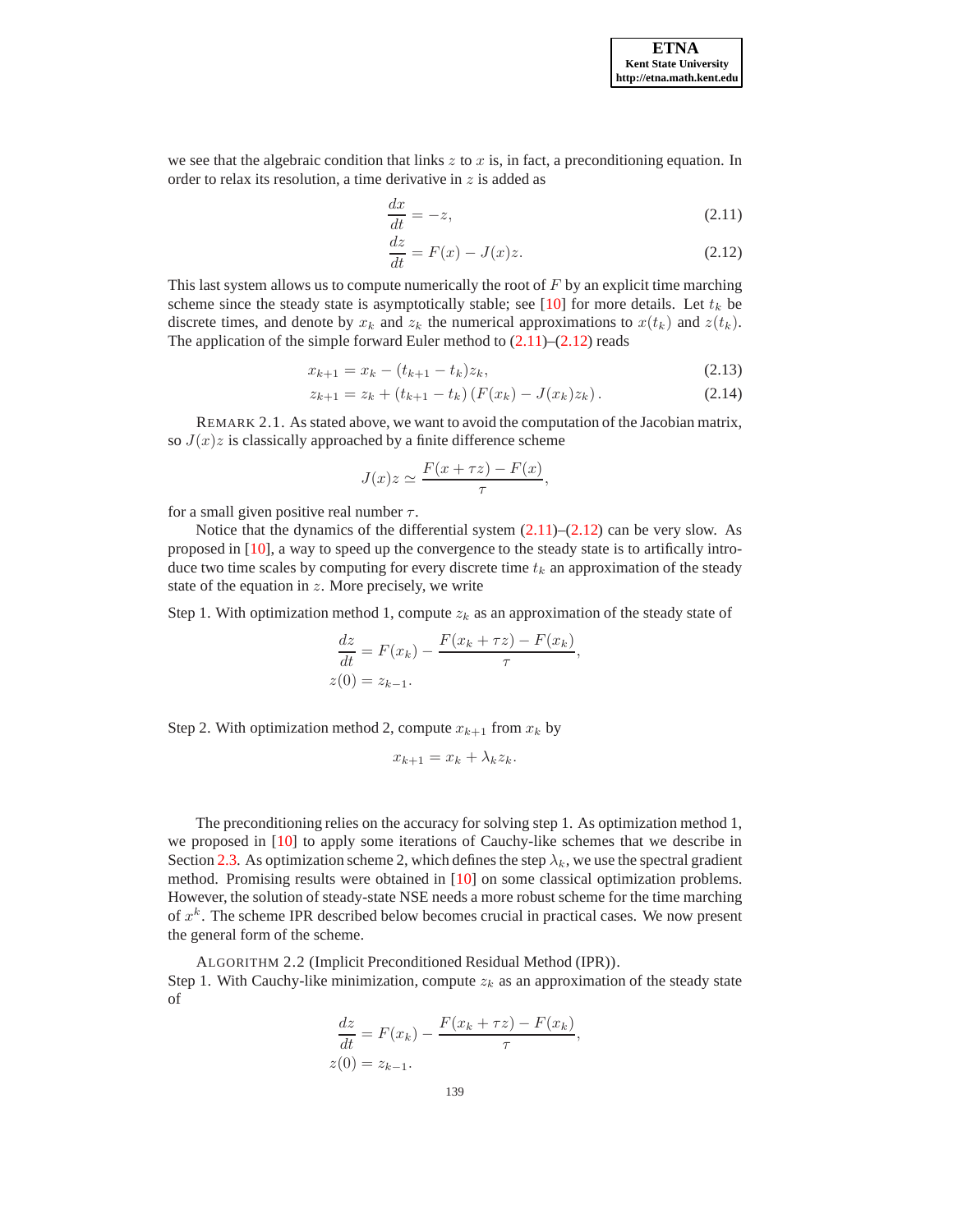we see that the algebraic condition that links  $z$  to  $x$  is, in fact, a preconditioning equation. In order to relax its resolution, a time derivative in  $z$  is added as

<span id="page-3-0"></span>
$$
\frac{dx}{dt} = -z,\tag{2.11}
$$

<span id="page-3-1"></span>
$$
\frac{dz}{dt} = F(x) - J(x)z.
$$
\n(2.12)

This last system allows us to compute numerically the root of  $F$  by an explicit time marching scheme since the steady state is asymptotically stable; see [\[10\]](#page-15-6) for more details. Let  $t_k$  be discrete times, and denote by  $x_k$  and  $z_k$  the numerical approximations to  $x(t_k)$  and  $z(t_k)$ . The application of the simple forward Euler method to  $(2.11)$ – $(2.12)$  reads

$$
x_{k+1} = x_k - (t_{k+1} - t_k)z_k, \tag{2.13}
$$

$$
z_{k+1} = z_k + (t_{k+1} - t_k) (F(x_k) - J(x_k)z_k).
$$
 (2.14)

<span id="page-3-2"></span>REMARK 2.1. As stated above, we want to avoid the computation of the Jacobian matrix, so  $J(x)z$  is classically approached by a finite difference scheme

$$
J(x)z \simeq \frac{F(x+\tau z) - F(x)}{\tau},
$$

for a small given positive real number  $\tau$ .

Notice that the dynamics of the differential system  $(2.11)$ – $(2.12)$  can be very slow. As proposed in [\[10\]](#page-15-6), a way to speed up the convergence to the steady state is to artifically introduce two time scales by computing for every discrete time  $t_k$  an approximation of the steady state of the equation in  $z$ . More precisely, we write

Step 1. With optimization method 1, compute  $z_k$  as an approximation of the steady state of

$$
\frac{dz}{dt} = F(x_k) - \frac{F(x_k + \tau z) - F(x_k)}{\tau},
$$
  
 
$$
z(0) = z_{k-1}.
$$

Step 2. With optimization method 2, compute  $x_{k+1}$  from  $x_k$  by

$$
x_{k+1} = x_k + \lambda_k z_k.
$$

The preconditioning relies on the accuracy for solving step 1. As optimization method 1, we proposed in [\[10\]](#page-15-6) to apply some iterations of Cauchy-like schemes that we describe in Section [2.3.](#page-4-0) As optimization scheme 2, which defines the step  $\lambda_k$ , we use the spectral gradient method. Promising results were obtained in [\[10](#page-15-6)] on some classical optimization problems. However, the solution of steady-state NSE needs a more robust scheme for the time marching of  $x^k$ . The scheme IPR described below becomes crucial in practical cases. We now present the general form of the scheme.

ALGORITHM 2.2 (Implicit Preconditioned Residual Method (IPR)). Step 1. With Cauchy-like minimization, compute  $z_k$  as an approximation of the steady state of

$$
\frac{dz}{dt} = F(x_k) - \frac{F(x_k + \tau z) - F(x_k)}{\tau},
$$
  
 
$$
z(0) = z_{k-1}.
$$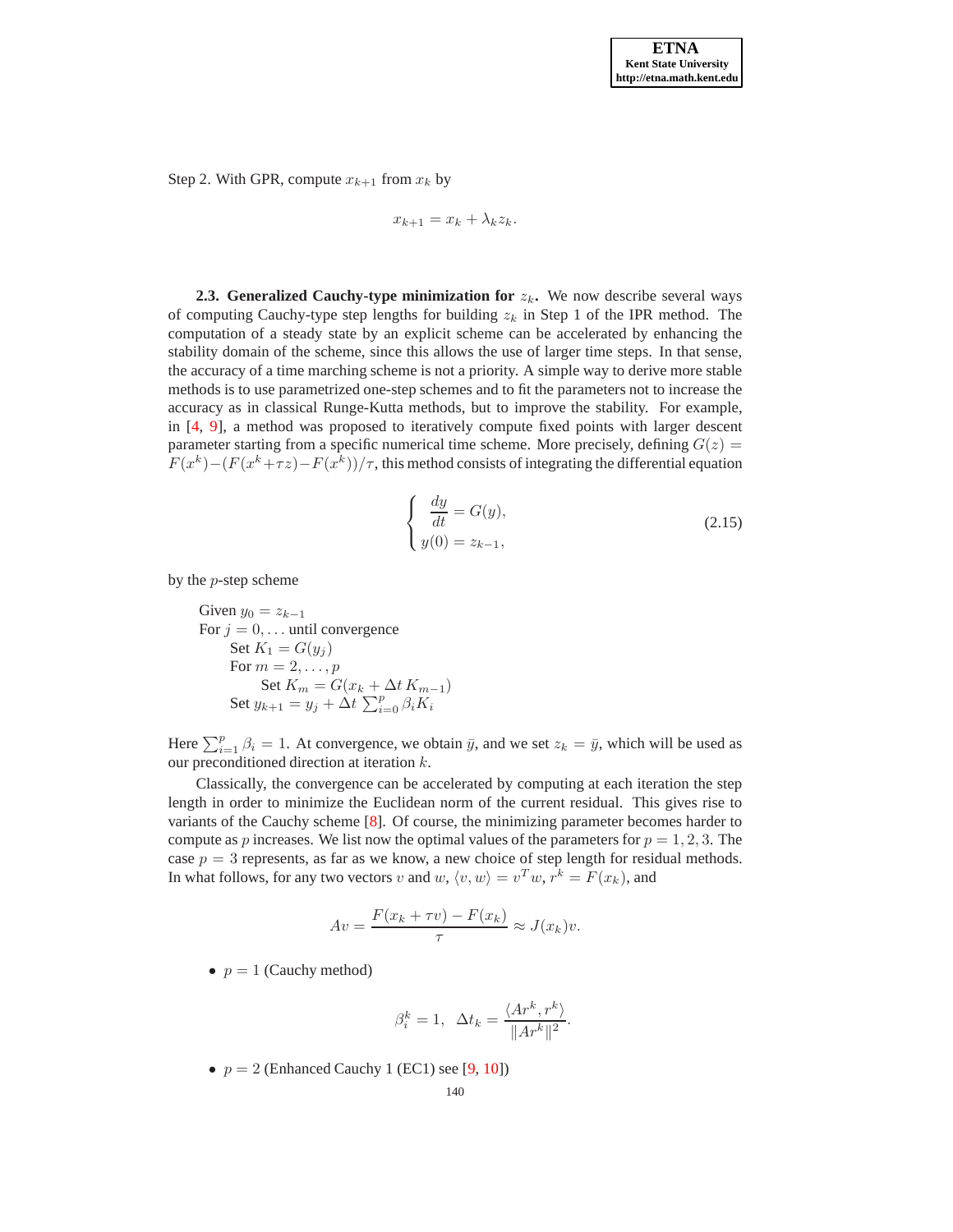Step 2. With GPR, compute  $x_{k+1}$  from  $x_k$  by

$$
x_{k+1} = x_k + \lambda_k z_k.
$$

<span id="page-4-0"></span>**2.3. Generalized Cauchy-type minimization for**  $z_k$ **.** We now describe several ways of computing Cauchy-type step lengths for building  $z_k$  in Step 1 of the IPR method. The computation of a steady state by an explicit scheme can be accelerated by enhancing the stability domain of the scheme, since this allows the use of larger time steps. In that sense, the accuracy of a time marching scheme is not a priority. A simple way to derive more stable methods is to use parametrized one-step schemes and to fit the parameters not to increase the accuracy as in classical Runge-Kutta methods, but to improve the stability. For example, in [\[4](#page-14-4), [9\]](#page-15-13), a method was proposed to iteratively compute fixed points with larger descent parameter starting from a specific numerical time scheme. More precisely, defining  $G(z)$  =  $F(x^k) - (F(x^k + \tau z) - F(x^k))/\tau$ , this method consists of integrating the differential equation

$$
\begin{cases}\n\frac{dy}{dt} = G(y), \\
y(0) = z_{k-1},\n\end{cases}
$$
\n(2.15)

by the p-step scheme

Given  $y_0 = z_{k-1}$ For  $j = 0, \ldots$  until convergence Set  $K_1 = G(y_j)$ For  $m = 2, \ldots, p$ Set  $K_m = G(x_k + \Delta t K_{m-1})$ Set  $y_{k+1} = y_j + \Delta t \sum_{i=0}^p \beta_i K_i$ 

Here  $\sum_{i=1}^{p} \beta_i = 1$ . At convergence, we obtain  $\bar{y}$ , and we set  $z_k = \bar{y}$ , which will be used as our preconditioned direction at iteration k.

Classically, the convergence can be accelerated by computing at each iteration the step length in order to minimize the Euclidean norm of the current residual. This gives rise to variants of the Cauchy scheme [\[8\]](#page-14-5). Of course, the minimizing parameter becomes harder to compute as p increases. We list now the optimal values of the parameters for  $p = 1, 2, 3$ . The case  $p = 3$  represents, as far as we know, a new choice of step length for residual methods. In what follows, for any two vectors v and  $w$ ,  $\langle v, w \rangle = v^T w$ ,  $r^k = F(x_k)$ , and

$$
Av = \frac{F(x_k + \tau v) - F(x_k)}{\tau} \approx J(x_k)v.
$$

•  $p = 1$  (Cauchy method)

$$
\beta_i^k = 1, \ \ \Delta t_k = \frac{\langle Ar^k, r^k \rangle}{\|Ar^k\|^2}.
$$

•  $p = 2$  (Enhanced Cauchy 1 (EC1) see [\[9,](#page-15-13) [10\]](#page-15-6))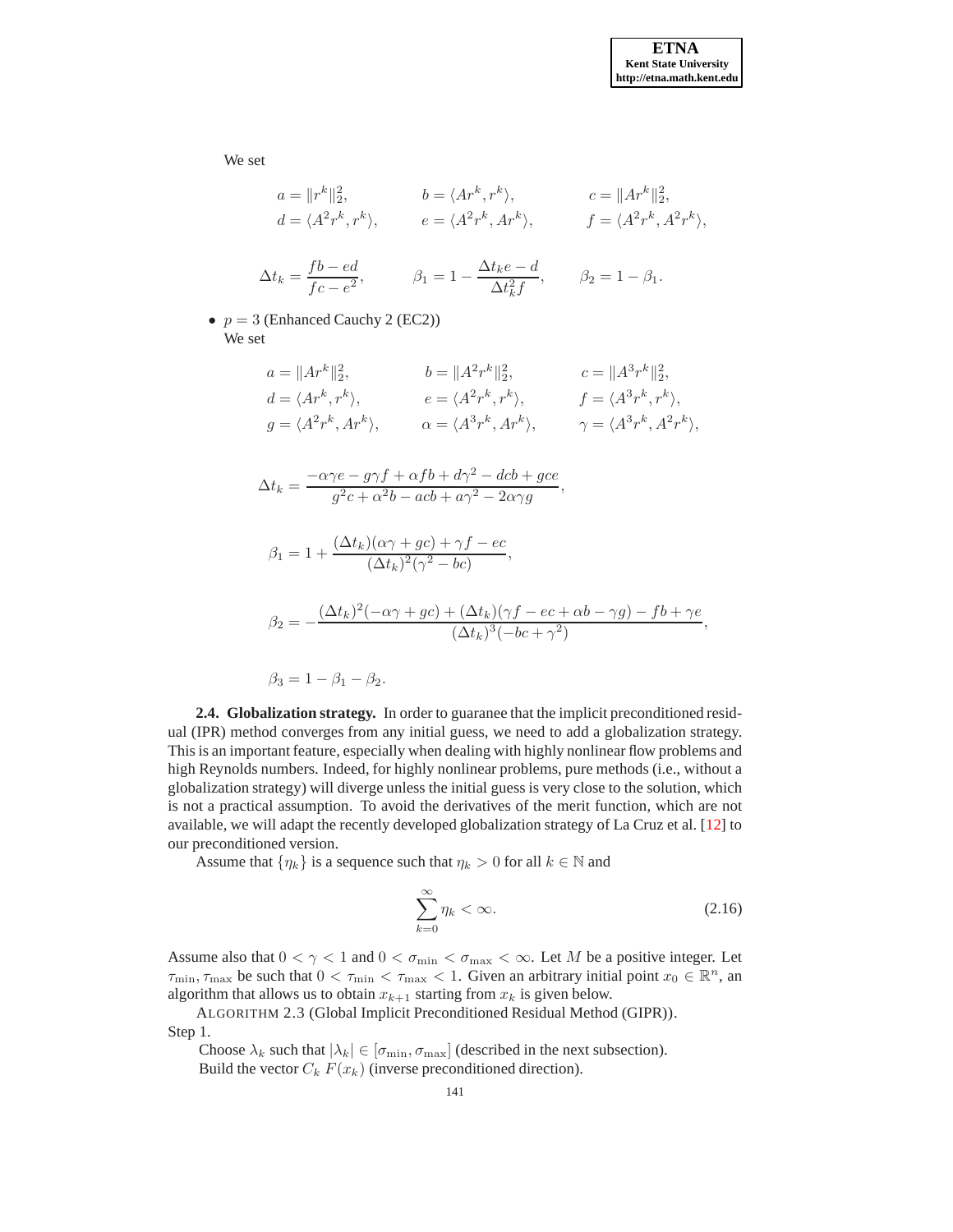We set

$$
a = ||r^k||_2^2, \t b = \langle Ar^k, r^k \rangle, \t c = ||Ar^k||_2^2,
$$
  
\n
$$
d = \langle A^2 r^k, r^k \rangle, \t e = \langle A^2 r^k, Ar^k \rangle, \t f = \langle A^2 r^k, A^2 r^k \rangle,
$$

$$
\Delta t_k = \frac{fb - ed}{fc - e^2}, \qquad \beta_1 = 1 - \frac{\Delta t_k e - d}{\Delta t_k^2 f}, \qquad \beta_2 = 1 - \beta_1.
$$

•  $p = 3$  (Enhanced Cauchy 2 (EC2)) We set

$$
a = ||Ar^k||_2^2,
$$
  
\n
$$
b = ||A^2r^k||_2^2,
$$
  
\n
$$
c = ||A^3r^k||_2^2,
$$
  
\n
$$
d = \langle Ar^k, r^k \rangle,
$$
  
\n
$$
e = \langle A^2r^k, r^k \rangle,
$$
  
\n
$$
f = \langle A^3r^k, r^k \rangle,
$$
  
\n
$$
g = \langle A^2r^k, Ar^k \rangle,
$$
  
\n
$$
\alpha = \langle A^3r^k, Ar^k \rangle,
$$
  
\n
$$
\gamma = \langle A^3r^k, A^2r^k \rangle,
$$

$$
\Delta t_k = \frac{-\alpha \gamma e - g \gamma f + \alpha f b + d \gamma^2 - d c b + g c e}{g^2 c + \alpha^2 b - a c b + a \gamma^2 - 2 \alpha \gamma g},
$$

$$
\beta_1 = 1 + \frac{(\Delta t_k)(\alpha \gamma + gc) + \gamma f - ec}{(\Delta t_k)^2(\gamma^2 - bc)}
$$

$$
\beta_2 = -\frac{(\Delta t_k)^2(-\alpha\gamma + gc) + (\Delta t_k)(\gamma f - ec + \alpha b - \gamma g) - fb + \gamma e}{(\Delta t_k)^3(-bc + \gamma^2)},
$$

,

$$
\beta_3=1-\beta_1-\beta_2.
$$

**2.4. Globalization strategy.** In order to guaranee that the implicit preconditioned residual (IPR) method converges from any initial guess, we need to add a globalization strategy. This is an important feature, especially when dealing with highly nonlinear flow problems and high Reynolds numbers. Indeed, for highly nonlinear problems, pure methods (i.e., without a globalization strategy) will diverge unless the initial guess is very close to the solution, which is not a practical assumption. To avoid the derivatives of the merit function, which are not available, we will adapt the recently developed globalization strategy of La Cruz et al. [\[12\]](#page-15-2) to our preconditioned version.

Assume that  $\{\eta_k\}$  is a sequence such that  $\eta_k > 0$  for all  $k \in \mathbb{N}$  and

$$
\sum_{k=0}^{\infty} \eta_k < \infty. \tag{2.16}
$$

Assume also that  $0 < \gamma < 1$  and  $0 < \sigma_{\min} < \sigma_{\max} < \infty$ . Let M be a positive integer. Let  $\tau_{\min}, \tau_{\max}$  be such that  $0 < \tau_{\min} < \tau_{\max} < 1$ . Given an arbitrary initial point  $x_0 \in \mathbb{R}^n$ , an algorithm that allows us to obtain  $x_{k+1}$  starting from  $x_k$  is given below.

ALGORITHM 2.3 (Global Implicit Preconditioned Residual Method (GIPR)). Step 1.

Choose  $\lambda_k$  such that  $|\lambda_k| \in [\sigma_{\min}, \sigma_{\max}]$  (described in the next subsection). Build the vector  $C_k F(x_k)$  (inverse preconditioned direction).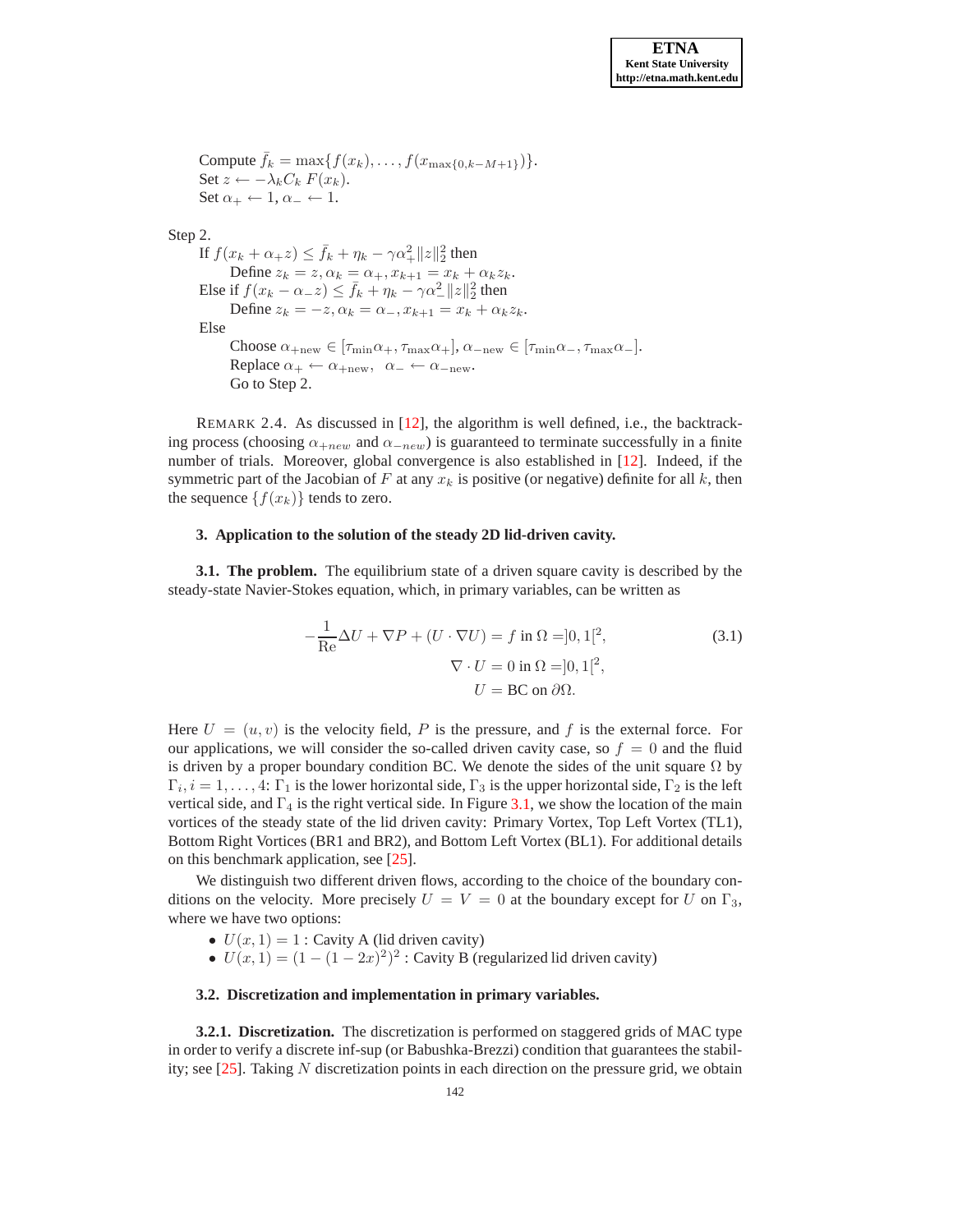Compute  $\bar{f}_k = \max\{f(x_k), \ldots, f(x_{\max\{0, k-M+1\}})\}.$ Set  $z \leftarrow -\lambda_k C_k F(x_k)$ . Set  $\alpha_+ \leftarrow 1, \alpha_- \leftarrow 1$ . Step 2. If  $f(x_k + \alpha_+ z) \leq \bar{f}_k + \eta_k - \gamma \alpha_+^2 ||z||_2^2$  then  $2k + \alpha_+ z \leq 2k + \eta_k - \gamma \alpha_+ ||z||_2$  and<br>Define  $z_k = z, \alpha_k = \alpha_+, x_{k+1} = x_k + \alpha_k z_k$ . Else if  $f(x_k - \alpha_{-}z) \leq \bar{f}_k + \eta_k - \gamma \alpha_-^2 ||z||_2^2$  then Define  $z_k = -z, \alpha_k = \alpha_-, x_{k+1} = x_k + \alpha_k z_k$ . Else Choose  $\alpha_{+\text{new}} \in [\tau_{\min} \alpha_+, \tau_{\max} \alpha_+]$ ,  $\alpha_{-\text{new}} \in [\tau_{\min} \alpha_-, \tau_{\max} \alpha_-]$ . Replace  $\alpha_+ \leftarrow \alpha_{+new}, \ \alpha_- \leftarrow \alpha_{-new}.$ Go to Step 2.

REMARK 2.4. As discussed in [\[12\]](#page-15-2), the algorithm is well defined, i.e., the backtracking process (choosing  $\alpha_{+new}$  and  $\alpha_{-new}$ ) is guaranteed to terminate successfully in a finite number of trials. Moreover, global convergence is also established in [\[12](#page-15-2)]. Indeed, if the symmetric part of the Jacobian of F at any  $x_k$  is positive (or negative) definite for all k, then the sequence  $\{f(x_k)\}\)$  tends to zero.

### <span id="page-6-0"></span>**3. Application to the solution of the steady 2D lid-driven cavity.**

**3.1. The problem.** The equilibrium state of a driven square cavity is described by the steady-state Navier-Stokes equation, which, in primary variables, can be written as

$$
-\frac{1}{\text{Re}}\Delta U + \nabla P + (U \cdot \nabla U) = f \text{ in } \Omega = ]0, 1[^2,
$$
  

$$
\nabla \cdot U = 0 \text{ in } \Omega = ]0, 1[^2,
$$
  

$$
U = \text{BC on } \partial \Omega.
$$
 (3.1)

Here  $U = (u, v)$  is the velocity field, P is the pressure, and f is the external force. For our applications, we will consider the so-called driven cavity case, so  $f = 0$  and the fluid is driven by a proper boundary condition BC. We denote the sides of the unit square  $\Omega$  by  $\Gamma_i, i = 1, \ldots, 4$ :  $\Gamma_1$  is the lower horizontal side,  $\Gamma_3$  is the upper horizontal side,  $\Gamma_2$  is the left vertical side, and  $\Gamma_4$  is the right vertical side. In Figure [3.1,](#page-7-0) we show the location of the main vortices of the steady state of the lid driven cavity: Primary Vortex, Top Left Vortex (TL1), Bottom Right Vortices (BR1 and BR2), and Bottom Left Vortex (BL1). For additional details on this benchmark application, see [\[25\]](#page-15-14).

We distinguish two different driven flows, according to the choice of the boundary conditions on the velocity. More precisely  $U = V = 0$  at the boundary except for U on  $\Gamma_3$ , where we have two options:

- $U(x, 1) = 1$ : Cavity A (lid driven cavity)
- $U(x, 1) = (1 (1 2x)^2)^2$ : Cavity B (regularized lid driven cavity)

# **3.2. Discretization and implementation in primary variables.**

**3.2.1. Discretization.** The discretization is performed on staggered grids of MAC type in order to verify a discrete inf-sup (or Babushka-Brezzi) condition that guarantees the stability; see  $[25]$ . Taking N discretization points in each direction on the pressure grid, we obtain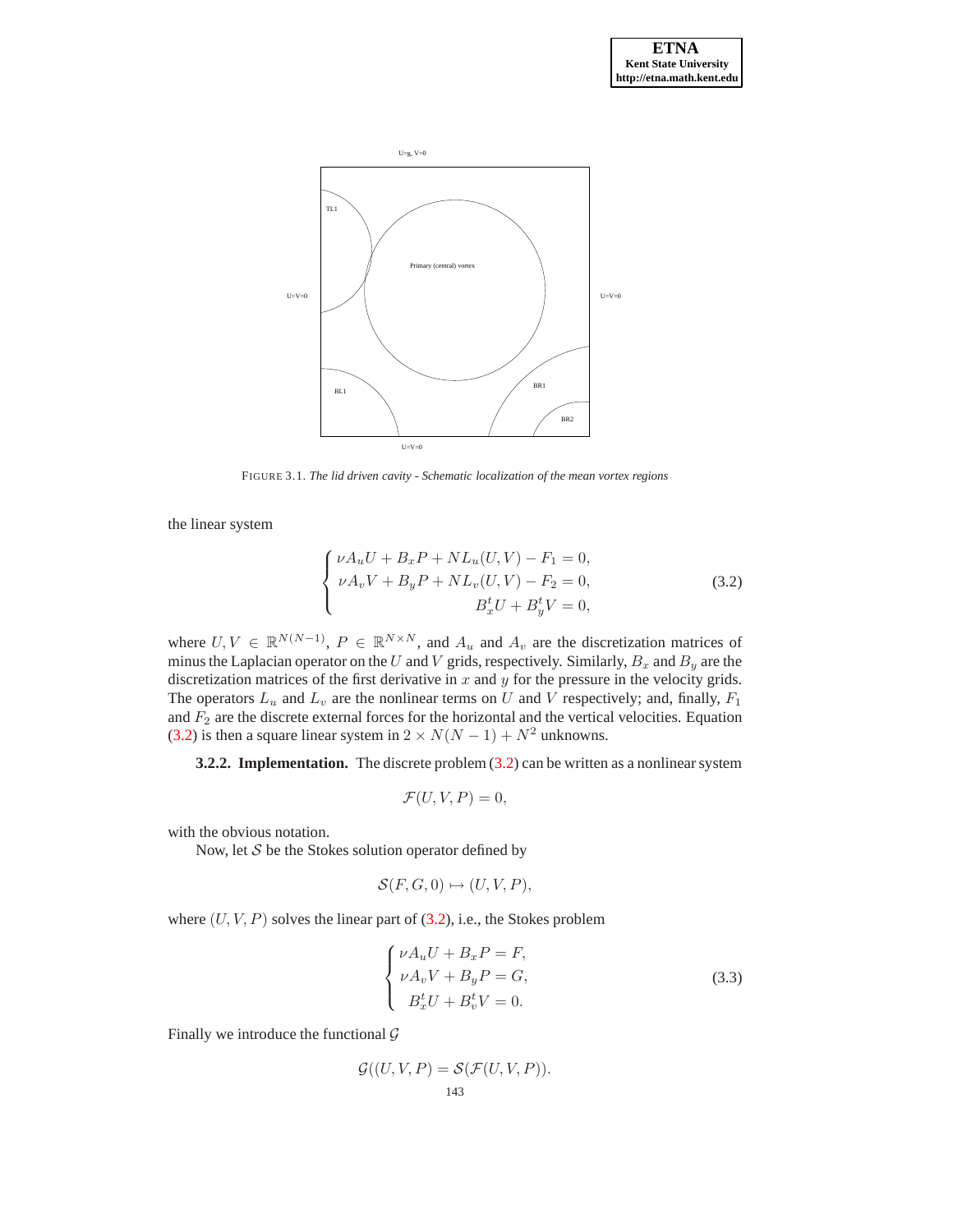

FIGURE 3.1. *The lid driven cavity - Schematic localization of the mean vortex regions*

the linear system

<span id="page-7-1"></span><span id="page-7-0"></span>
$$
\begin{cases}\n\nu A_u U + B_x P + N L_u (U, V) - F_1 = 0, \\
\nu A_v V + B_y P + N L_v (U, V) - F_2 = 0, \\
B_x^t U + B_y^t V = 0,\n\end{cases}
$$
\n(3.2)

where  $U, V \in \mathbb{R}^{N(N-1)}$ ,  $P \in \mathbb{R}^{N \times N}$ , and  $A_u$  and  $A_v$  are the discretization matrices of minus the Laplacian operator on the U and V grids, respectively. Similarly,  $B_x$  and  $B_y$  are the discretization matrices of the first derivative in  $x$  and  $y$  for the pressure in the velocity grids. The operators  $L_u$  and  $L_v$  are the nonlinear terms on U and V respectively; and, finally,  $F_1$ and  $F_2$  are the discrete external forces for the horizontal and the vertical velocities. Equation [\(3.2\)](#page-7-1) is then a square linear system in  $2 \times N(N-1) + N^2$  unknowns.

**3.2.2. Implementation.** The discrete problem [\(3.2\)](#page-7-1) can be written as a nonlinear system

$$
\mathcal{F}(U,V,P)=0,
$$

with the obvious notation.

Now, let  $S$  be the Stokes solution operator defined by

$$
\mathcal{S}(F,G,0) \mapsto (U,V,P),
$$

where  $(U, V, P)$  solves the linear part of  $(3.2)$ , i.e., the Stokes problem

$$
\begin{cases}\n\nu A_u U + B_x P = F, \\
\nu A_v V + B_y P = G, \\
B_x^t U + B_v^t V = 0.\n\end{cases}
$$
\n(3.3)

Finally we introduce the functional  $G$ 

$$
\mathcal{G}((U,V,P)=\mathcal{S}(\mathcal{F}(U,V,P)).
$$
  
143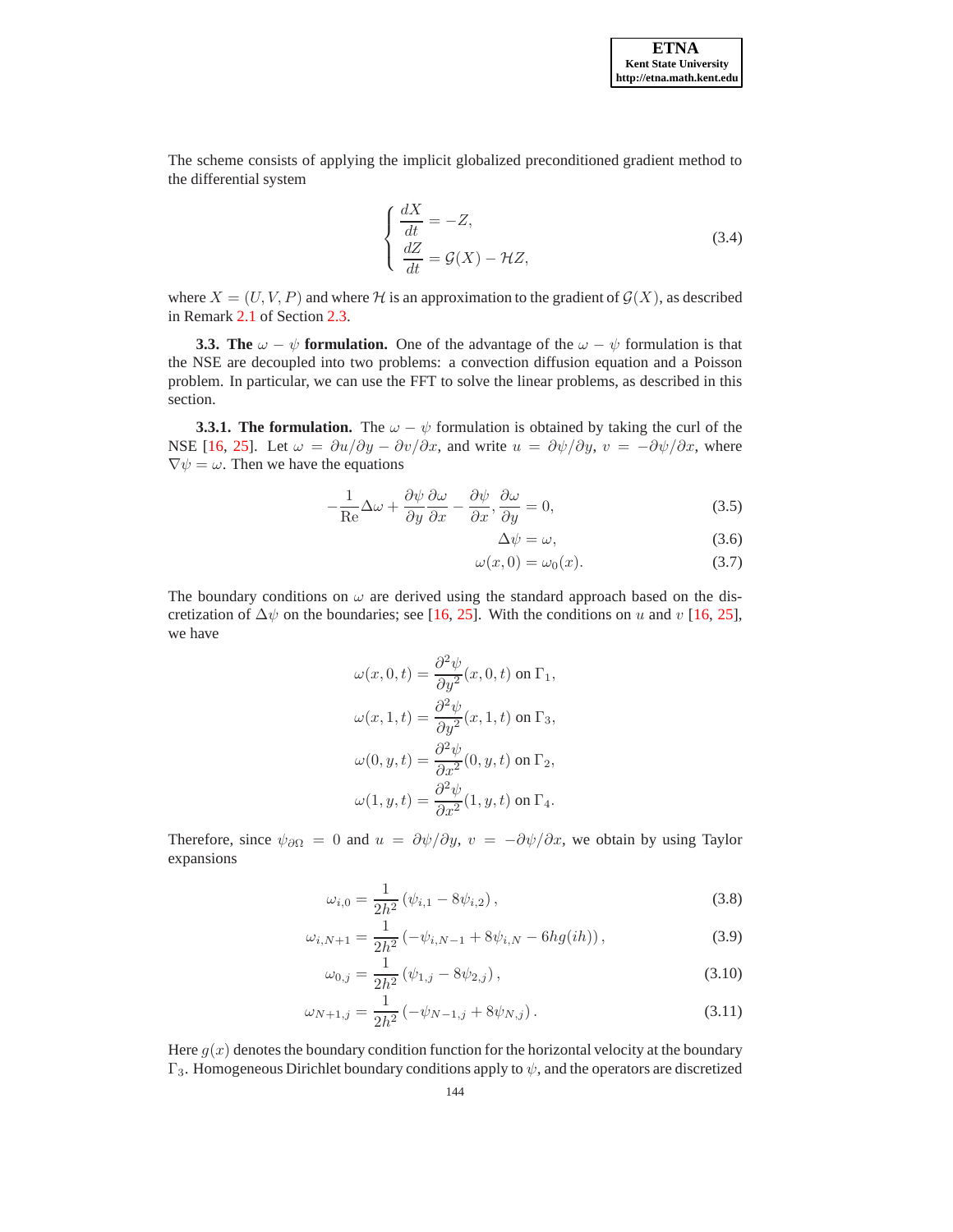The scheme consists of applying the implicit globalized preconditioned gradient method to the differential system

$$
\begin{cases}\n\frac{dX}{dt} = -Z, \\
\frac{dZ}{dt} = \mathcal{G}(X) - \mathcal{H}Z,\n\end{cases}
$$
\n(3.4)

where  $X = (U, V, P)$  and where H is an approximation to the gradient of  $\mathcal{G}(X)$ , as described in Remark [2.1](#page-3-2) of Section [2.3.](#page-4-0)

**3.3. The**  $\omega - \psi$  **formulation.** One of the advantage of the  $\omega - \psi$  formulation is that the NSE are decoupled into two problems: a convection diffusion equation and a Poisson problem. In particular, we can use the FFT to solve the linear problems, as described in this section.

**3.3.1. The formulation.** The  $\omega - \psi$  formulation is obtained by taking the curl of the NSE [\[16,](#page-15-15) [25\]](#page-15-14). Let  $\omega = \frac{\partial u}{\partial y} - \frac{\partial v}{\partial x}$ , and write  $u = \frac{\partial \psi}{\partial y}$ ,  $v = -\frac{\partial \psi}{\partial x}$ , where  $\nabla \psi = \omega$ . Then we have the equations

$$
-\frac{1}{\text{Re}}\Delta\omega + \frac{\partial\psi}{\partial y}\frac{\partial\omega}{\partial x} - \frac{\partial\psi}{\partial x}, \frac{\partial\omega}{\partial y} = 0,
$$
\n(3.5)

$$
\Delta \psi = \omega,\tag{3.6}
$$

$$
\omega(x,0) = \omega_0(x). \tag{3.7}
$$

The boundary conditions on  $\omega$  are derived using the standard approach based on the discretization of  $\Delta \psi$  on the boundaries; see [\[16,](#page-15-15) [25\]](#page-15-14). With the conditions on u and v [16, [25](#page-15-14)], we have

$$
\omega(x, 0, t) = \frac{\partial^2 \psi}{\partial y^2}(x, 0, t) \text{ on } \Gamma_1,
$$
  

$$
\omega(x, 1, t) = \frac{\partial^2 \psi}{\partial y^2}(x, 1, t) \text{ on } \Gamma_3,
$$
  

$$
\omega(0, y, t) = \frac{\partial^2 \psi}{\partial x^2}(0, y, t) \text{ on } \Gamma_2,
$$
  

$$
\omega(1, y, t) = \frac{\partial^2 \psi}{\partial x^2}(1, y, t) \text{ on } \Gamma_4.
$$

Therefore, since  $\psi_{\partial\Omega} = 0$  and  $u = \partial \psi / \partial y$ ,  $v = -\partial \psi / \partial x$ , we obtain by using Taylor expansions

<span id="page-8-0"></span>
$$
\omega_{i,0} = \frac{1}{2h^2} \left( \psi_{i,1} - 8\psi_{i,2} \right),\tag{3.8}
$$

$$
\omega_{i,N+1} = \frac{1}{2h^2} \left( -\psi_{i,N-1} + 8\psi_{i,N} - 6hg(ih) \right),\tag{3.9}
$$

<span id="page-8-1"></span>
$$
\omega_{0,j} = \frac{1}{2h^2} \left( \psi_{1,j} - 8\psi_{2,j} \right),\tag{3.10}
$$

$$
\omega_{N+1,j} = \frac{1}{2h^2} \left( -\psi_{N-1,j} + 8\psi_{N,j} \right). \tag{3.11}
$$

Here  $g(x)$  denotes the boundary condition function for the horizontal velocity at the boundary Γ3. Homogeneous Dirichlet boundary conditions apply to ψ, and the operators are discretized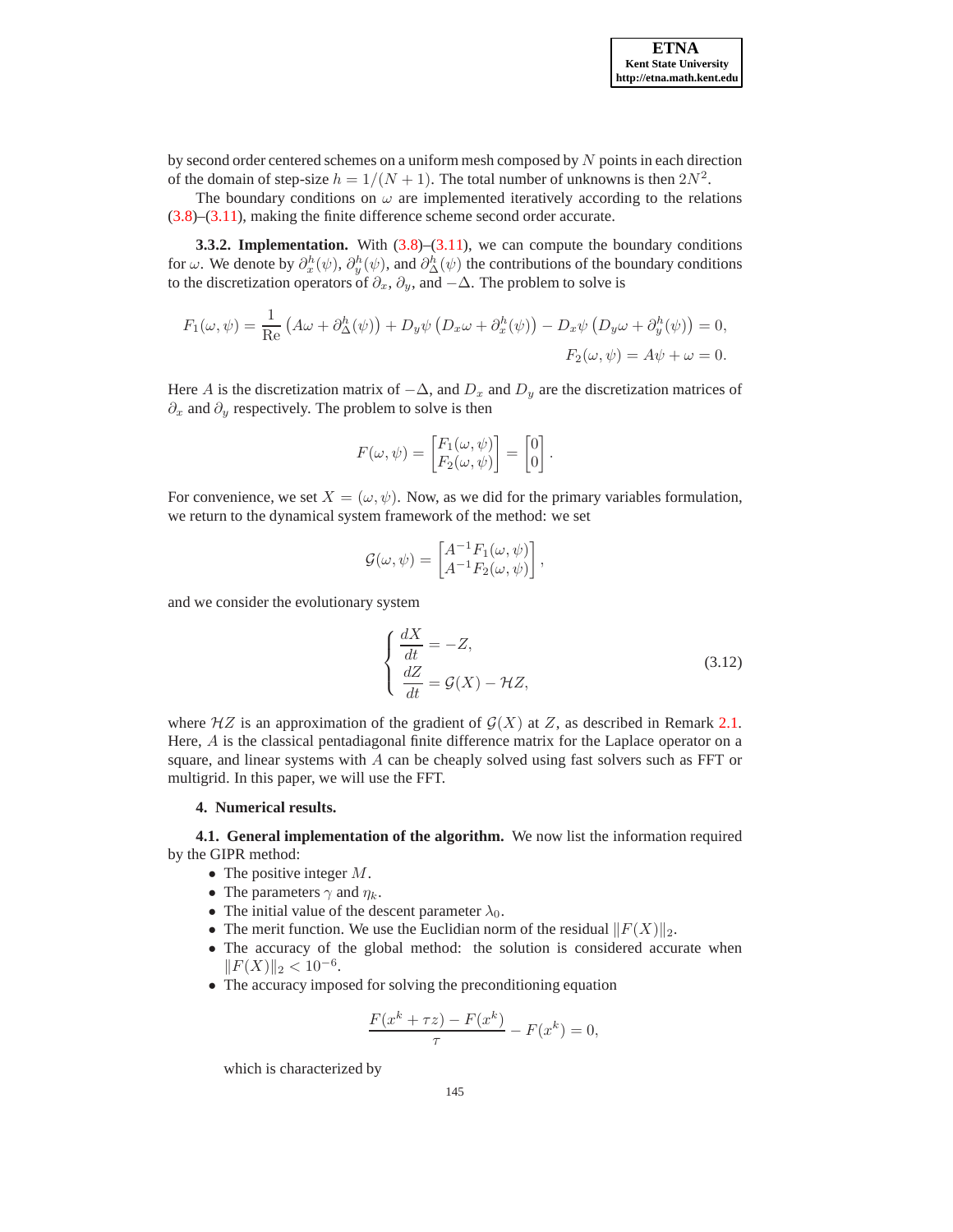by second order centered schemes on a uniform mesh composed by  $N$  points in each direction of the domain of step-size  $h = 1/(N + 1)$ . The total number of unknowns is then  $2N^2$ .

The boundary conditions on  $\omega$  are implemented iteratively according to the relations [\(3.8\)](#page-8-0)–[\(3.11\)](#page-8-1), making the finite difference scheme second order accurate.

**3.3.2. Implementation.** With  $(3.8)$ – $(3.11)$ , we can compute the boundary conditions for  $\omega$ . We denote by  $\partial_x^h(\psi)$ ,  $\partial_y^h(\psi)$ , and  $\partial_{\Delta}^h(\psi)$  the contributions of the boundary conditions to the discretization operators of  $\partial_x$ ,  $\partial_y$ , and  $-\Delta$ . The problem to solve is

$$
F_1(\omega, \psi) = \frac{1}{\text{Re}} \left( A\omega + \partial_{\Delta}^h(\psi) \right) + D_y \psi \left( D_x \omega + \partial_x^h(\psi) \right) - D_x \psi \left( D_y \omega + \partial_y^h(\psi) \right) = 0,
$$
  

$$
F_2(\omega, \psi) = A\psi + \omega = 0.
$$

Here A is the discretization matrix of  $-\Delta$ , and  $D_x$  and  $D_y$  are the discretization matrices of  $\partial_x$  and  $\partial_y$  respectively. The problem to solve is then

$$
F(\omega, \psi) = \begin{bmatrix} F_1(\omega, \psi) \\ F_2(\omega, \psi) \end{bmatrix} = \begin{bmatrix} 0 \\ 0 \end{bmatrix}.
$$

For convenience, we set  $X = (\omega, \psi)$ . Now, as we did for the primary variables formulation, we return to the dynamical system framework of the method: we set

$$
\mathcal{G}(\omega,\psi) = \begin{bmatrix} A^{-1}F_1(\omega,\psi) \\ A^{-1}F_2(\omega,\psi) \end{bmatrix},
$$

and we consider the evolutionary system

$$
\begin{cases}\n\frac{dX}{dt} = -Z, \\
\frac{dZ}{dt} = \mathcal{G}(X) - \mathcal{H}Z,\n\end{cases}
$$
\n(3.12)

where  $HZ$  is an approximation of the gradient of  $\mathcal{G}(X)$  at Z, as described in Remark [2.1.](#page-3-2) Here, A is the classical pentadiagonal finite difference matrix for the Laplace operator on a square, and linear systems with A can be cheaply solved using fast solvers such as FFT or multigrid. In this paper, we will use the FFT.

# <span id="page-9-0"></span>**4. Numerical results.**

**4.1. General implementation of the algorithm.** We now list the information required by the GIPR method:

- The positive integer  $M$ .
- The parameters  $\gamma$  and  $\eta_k$ .
- The initial value of the descent parameter  $\lambda_0$ .
- The merit function. We use the Euclidian norm of the residual  $||F(X)||_2$ .
- The accuracy of the global method: the solution is considered accurate when  $||F(X)||_2 < 10^{-6}.$
- The accuracy imposed for solving the preconditioning equation

$$
\frac{F(x^k + \tau z) - F(x^k)}{\tau} - F(x^k) = 0,
$$

which is characterized by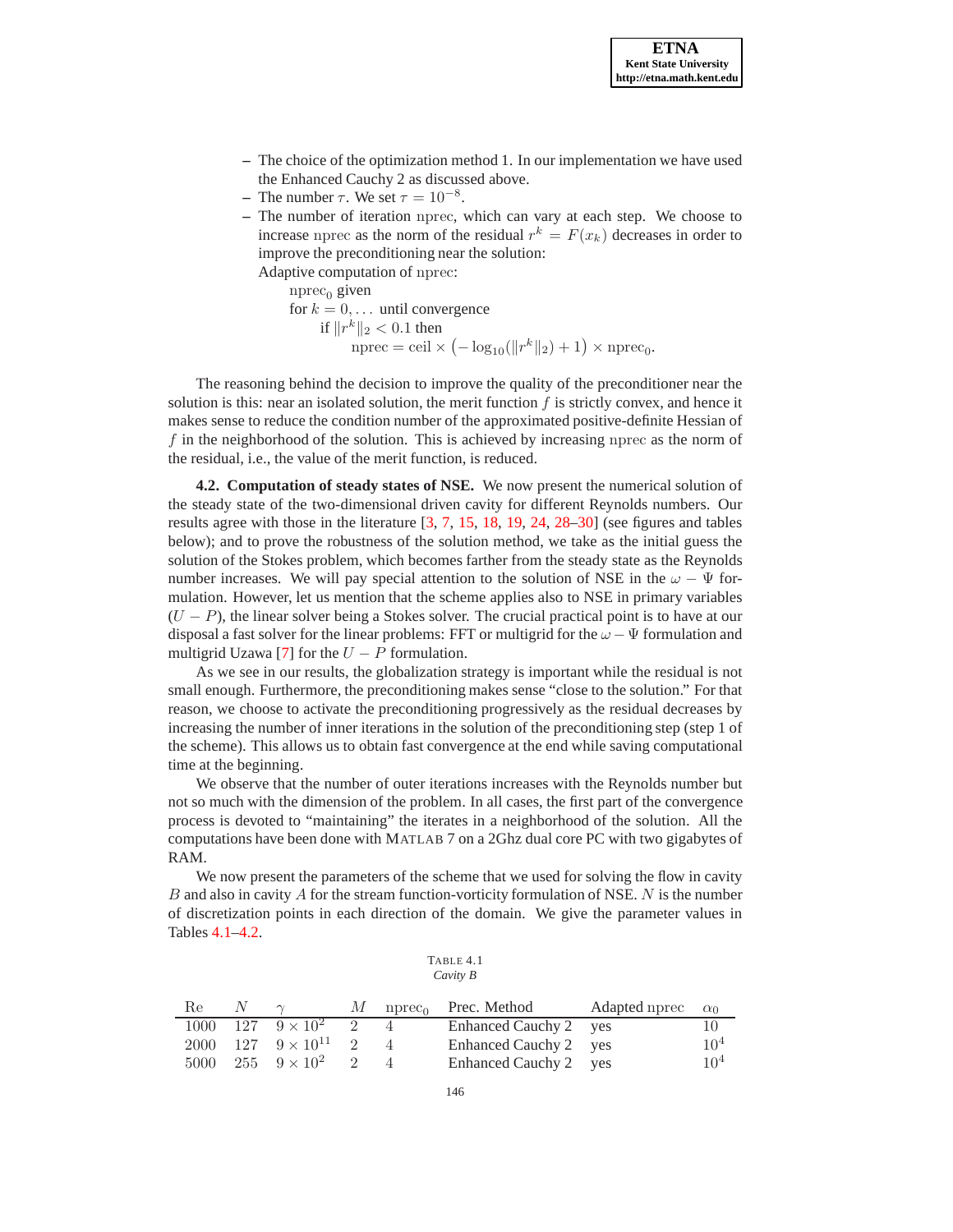- **–** The choice of the optimization method 1. In our implementation we have used the Enhanced Cauchy 2 as discussed above.
- **–** The number  $\tau$ . We set  $\tau = 10^{-8}$ .
- **–** The number of iteration nprec, which can vary at each step. We choose to increase nprec as the norm of the residual  $r^k = F(x_k)$  decreases in order to improve the preconditioning near the solution:

Adaptive computation of nprec:

 $n$ prec<sub>0</sub> given for  $k = 0, \ldots$  until convergence if  $\|r^k\|_2 < 0.1$  then  $\text{nprec} = \text{ceil} \times (-\log_{10}(\Vert r^k \Vert_2) + 1) \times \text{nprec}_0.$ 

The reasoning behind the decision to improve the quality of the preconditioner near the solution is this: near an isolated solution, the merit function  $f$  is strictly convex, and hence it makes sense to reduce the condition number of the approximated positive-definite Hessian of f in the neighborhood of the solution. This is achieved by increasing nprec as the norm of the residual, i.e., the value of the merit function, is reduced.

**4.2. Computation of steady states of NSE.** We now present the numerical solution of the steady state of the two-dimensional driven cavity for different Reynolds numbers. Our results agree with those in the literature [\[3,](#page-14-6) [7](#page-14-7), [15,](#page-15-16) [18](#page-15-17), [19,](#page-15-18) [24](#page-15-19), [28](#page-15-20)[–30](#page-15-21)] (see figures and tables below); and to prove the robustness of the solution method, we take as the initial guess the solution of the Stokes problem, which becomes farther from the steady state as the Reynolds number increases. We will pay special attention to the solution of NSE in the  $\omega - \Psi$  formulation. However, let us mention that the scheme applies also to NSE in primary variables  $(U - P)$ , the linear solver being a Stokes solver. The crucial practical point is to have at our disposal a fast solver for the linear problems: FFT or multigrid for the  $\omega - \Psi$  formulation and multigrid Uzawa [\[7\]](#page-14-7) for the  $U - P$  formulation.

As we see in our results, the globalization strategy is important while the residual is not small enough. Furthermore, the preconditioning makes sense "close to the solution." For that reason, we choose to activate the preconditioning progressively as the residual decreases by increasing the number of inner iterations in the solution of the preconditioning step (step 1 of the scheme). This allows us to obtain fast convergence at the end while saving computational time at the beginning.

We observe that the number of outer iterations increases with the Reynolds number but not so much with the dimension of the problem. In all cases, the first part of the convergence process is devoted to "maintaining" the iterates in a neighborhood of the solution. All the computations have been done with MATLAB 7 on a 2Ghz dual core PC with two gigabytes of RAM.

We now present the parameters of the scheme that we used for solving the flow in cavity  $B$  and also in cavity  $A$  for the stream function-vorticity formulation of NSE.  $N$  is the number of discretization points in each direction of the domain. We give the parameter values in Tables [4.1–](#page-10-0)[4.2.](#page-11-0)

<span id="page-10-0"></span>

| TABLE<br>4 I |  |
|--------------|--|
| Cavity<br>к  |  |

| Re | $\sim$                                                                         |  | $M$ nprec <sub>o</sub> Prec. Method | Adapted nprec $\alpha_0$ |                 |
|----|--------------------------------------------------------------------------------|--|-------------------------------------|--------------------------|-----------------|
|    | $\overline{1000}$ $\overline{127}$ $\overline{9} \times 10^{2}$ $\overline{2}$ |  | Enhanced Cauchy 2 yes               |                          | 10              |
|    | 2000 $127 \quad 9 \times 10^{11} \quad 2$                                      |  | Enhanced Cauchy 2 yes               |                          | 10 <sup>4</sup> |
|    | $5000 \quad 255 \quad 9 \times 10^2 \quad 2$                                   |  | Enhanced Cauchy 2 yes               |                          | 10 <sup>4</sup> |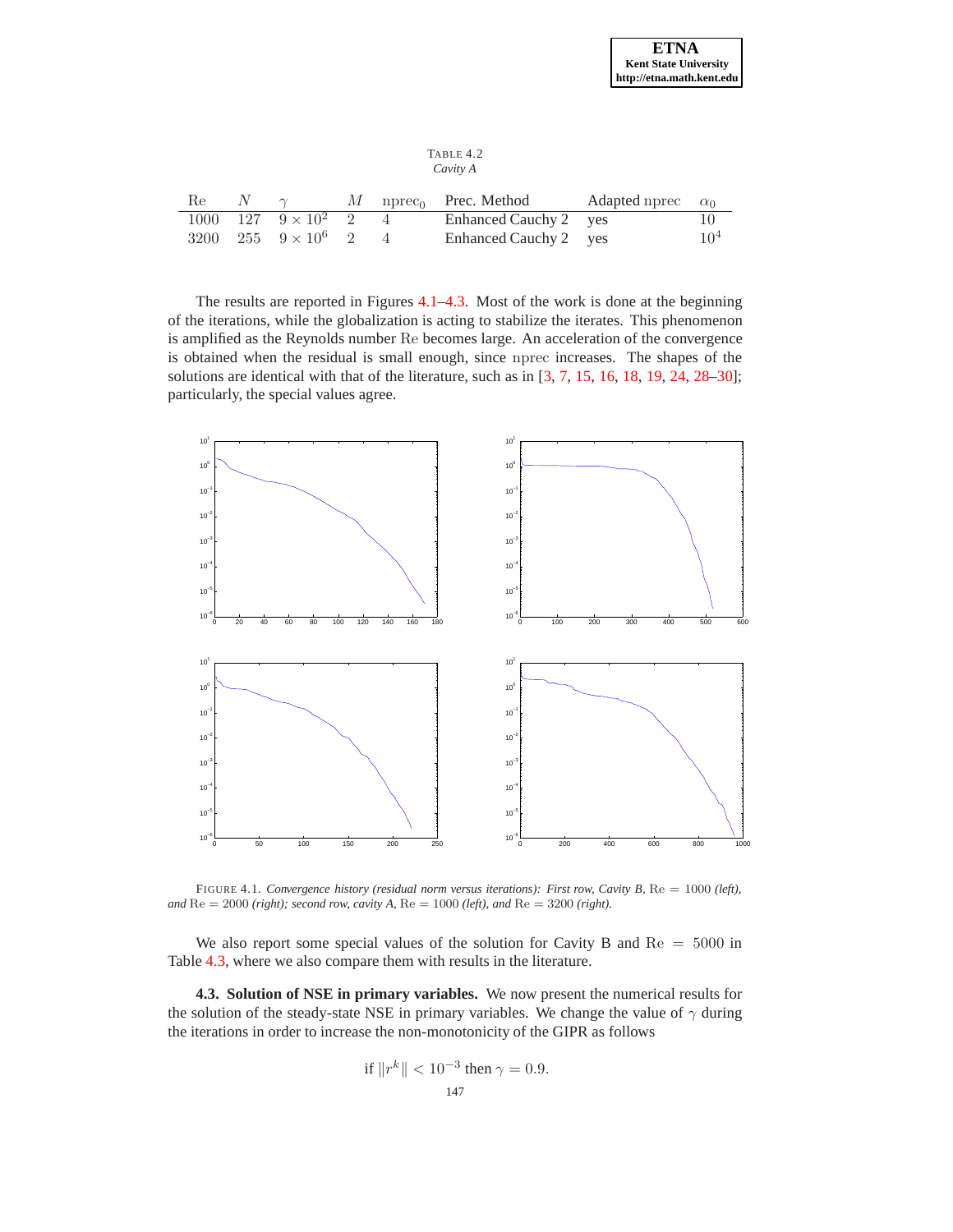#### <span id="page-11-0"></span>TABLE 4.2 *Cavity A*

| Re- | N |                                              |  | $M$ nprec <sub>0</sub> Prec. Method | Adapted nprec $\alpha_0$ |        |
|-----|---|----------------------------------------------|--|-------------------------------------|--------------------------|--------|
|     |   | $1000 \quad 127 \quad 9 \times 10^2 \quad 2$ |  | Enhanced Cauchy 2 yes               |                          | T0     |
|     |   | 3200 255 $9 \times 10^6$ 2 4                 |  | Enhanced Cauchy 2 yes               |                          | $10^4$ |

The results are reported in Figures [4.1](#page-11-1)[–4.3.](#page-13-0) Most of the work is done at the beginning of the iterations, while the globalization is acting to stabilize the iterates. This phenomenon is amplified as the Reynolds number Re becomes large. An acceleration of the convergence is obtained when the residual is small enough, since nprec increases. The shapes of the solutions are identical with that of the literature, such as in [\[3](#page-14-6), [7,](#page-14-7) [15,](#page-15-16) [16](#page-15-15), [18](#page-15-17), [19,](#page-15-18) [24,](#page-15-19) [28](#page-15-20)[–30\]](#page-15-21); particularly, the special values agree.



<span id="page-11-1"></span>FIGURE 4.1. *Convergence history (residual norm versus iterations): First row, Cavity B,* Re = 1000 *(left), and* Re = 2000 *(right); second row, cavity A,* Re = 1000 *(left), and* Re = 3200 *(right).*

We also report some special values of the solution for Cavity B and  $Re = 5000$  in Table [4.3,](#page-14-8) where we also compare them with results in the literature.

**4.3. Solution of NSE in primary variables.** We now present the numerical results for the solution of the steady-state NSE in primary variables. We change the value of  $\gamma$  during the iterations in order to increase the non-monotonicity of the GIPR as follows

if 
$$
||r^k|| < 10^{-3}
$$
 then  $\gamma = 0.9$ .  
147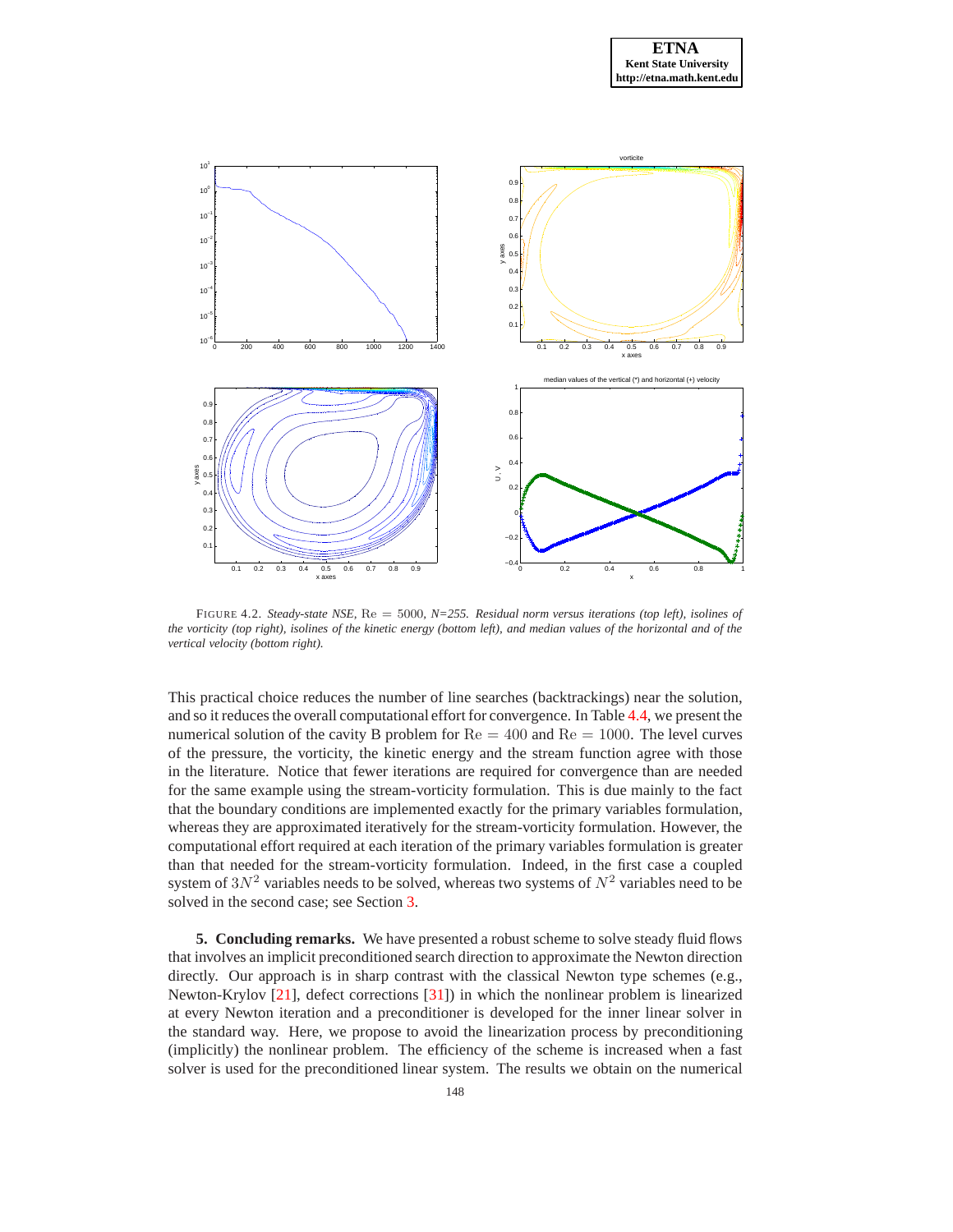



FIGURE 4.2. *Steady-state NSE,* Re = 5000*, N=255. Residual norm versus iterations (top left), isolines of the vorticity (top right), isolines of the kinetic energy (bottom left), and median values of the horizontal and of the vertical velocity (bottom right).*

This practical choice reduces the number of line searches (backtrackings) near the solution, and so it reduces the overall computational effort for convergence. In Table [4.4,](#page-14-9) we present the numerical solution of the cavity B problem for  $Re = 400$  and  $Re = 1000$ . The level curves of the pressure, the vorticity, the kinetic energy and the stream function agree with those in the literature. Notice that fewer iterations are required for convergence than are needed for the same example using the stream-vorticity formulation. This is due mainly to the fact that the boundary conditions are implemented exactly for the primary variables formulation, whereas they are approximated iteratively for the stream-vorticity formulation. However, the computational effort required at each iteration of the primary variables formulation is greater than that needed for the stream-vorticity formulation. Indeed, in the first case a coupled system of  $3N^2$  variables needs to be solved, whereas two systems of  $N^2$  variables need to be solved in the second case; see Section [3.](#page-6-0)

**5. Concluding remarks.** We have presented a robust scheme to solve steady fluid flows that involves an implicit preconditioned search direction to approximate the Newton direction directly. Our approach is in sharp contrast with the classical Newton type schemes (e.g., Newton-Krylov [\[21\]](#page-15-9), defect corrections [\[31\]](#page-15-8)) in which the nonlinear problem is linearized at every Newton iteration and a preconditioner is developed for the inner linear solver in the standard way. Here, we propose to avoid the linearization process by preconditioning (implicitly) the nonlinear problem. The efficiency of the scheme is increased when a fast solver is used for the preconditioned linear system. The results we obtain on the numerical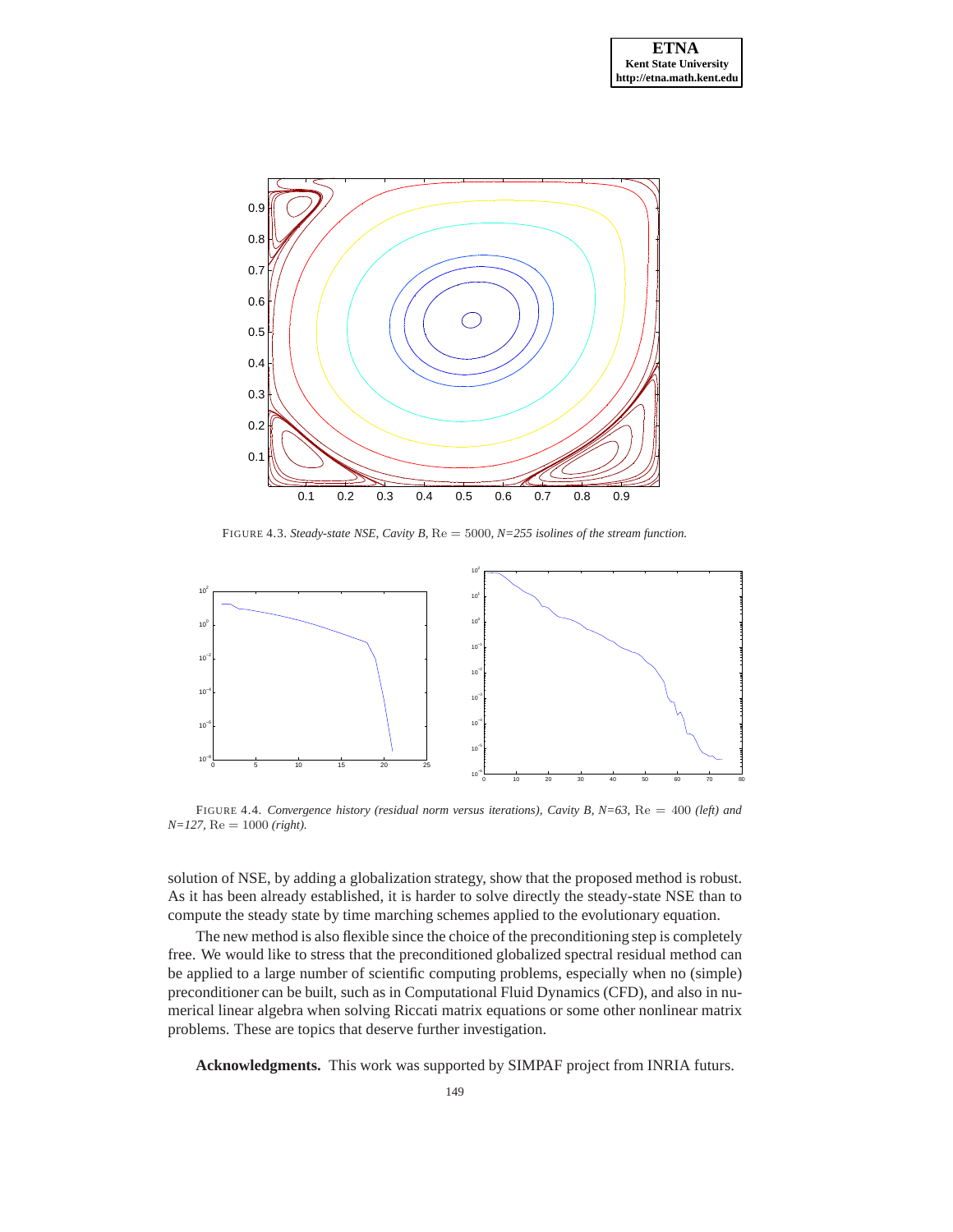



<span id="page-13-0"></span>FIGURE 4.3. *Steady-state NSE, Cavity B,* Re = 5000*, N=255 isolines of the stream function.*



FIGURE 4.4. *Convergence history (residual norm versus iterations), Cavity B, N=63,* Re = 400 *(left) and N=127,* Re = 1000 *(right).*

solution of NSE, by adding a globalization strategy, show that the proposed method is robust. As it has been already established, it is harder to solve directly the steady-state NSE than to compute the steady state by time marching schemes applied to the evolutionary equation.

The new method is also flexible since the choice of the preconditioning step is completely free. We would like to stress that the preconditioned globalized spectral residual method can be applied to a large number of scientific computing problems, especially when no (simple) preconditioner can be built, such as in Computational Fluid Dynamics (CFD), and also in numerical linear algebra when solving Riccati matrix equations or some other nonlinear matrix problems. These are topics that deserve further investigation.

**Acknowledgments.** This work was supported by SIMPAF project from INRIA futurs.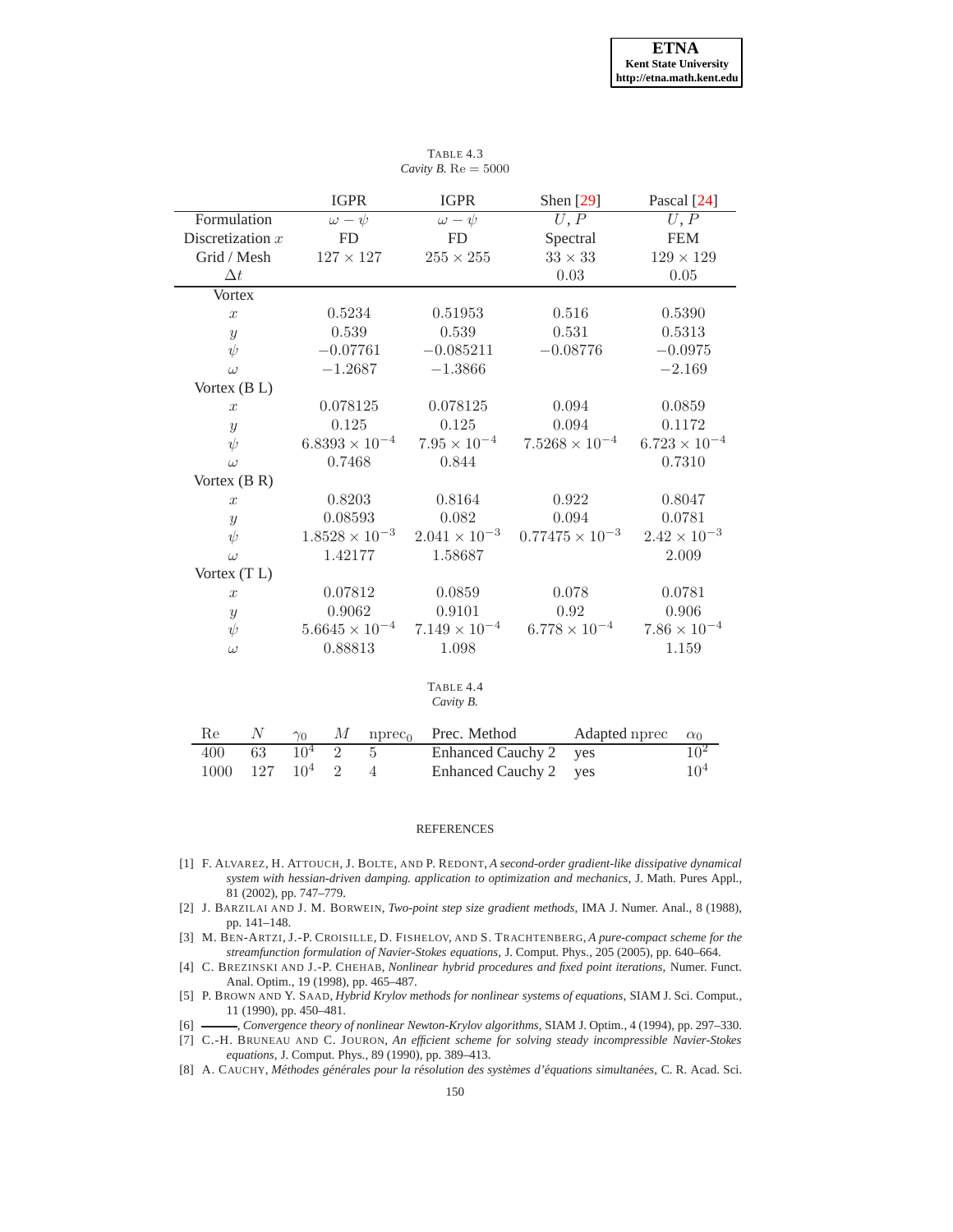|                    | <b>IGPR</b>             | <b>IGPR</b>            | Shen [29]                | Pascal [24]            |
|--------------------|-------------------------|------------------------|--------------------------|------------------------|
| Formulation        | $\omega - \psi$         | $\omega - \psi$        | U, P                     | U, P                   |
| Discretization $x$ | <b>FD</b>               | <b>FD</b>              | Spectral                 | <b>FEM</b>             |
| Grid / Mesh        | $127 \times 127$        | $255 \times 255$       | $33\times33$             | $129 \times 129$       |
| $\Delta t$         |                         |                        | $0.03\,$                 | $0.05\,$               |
| <b>Vortex</b>      |                         |                        |                          |                        |
| $\boldsymbol{x}$   | 0.5234                  | 0.51953                | 0.516                    | 0.5390                 |
| $\boldsymbol{y}$   | 0.539                   | 0.539                  | 0.531                    | 0.5313                 |
| $\psi$             | $-0.07761$              | $-0.085211$            | $-0.08776$               | $-0.0975$              |
| $\omega$           | $-1.2687$               | $-1.3866$              |                          | $-2.169$               |
| Vortex $(B L)$     |                         |                        |                          |                        |
| $\boldsymbol{x}$   | 0.078125                | 0.078125               | 0.094                    | 0.0859                 |
| $\mathcal{Y}$      | 0.125                   | 0.125                  | 0.094                    | 0.1172                 |
| $\psi$             | $6.8393 \times 10^{-4}$ | $7.95 \times 10^{-4}$  | $7.5268 \times 10^{-4}$  | $6.723 \times 10^{-4}$ |
| $\omega$           | 0.7468                  | 0.844                  |                          | 0.7310                 |
| Vortex $(B R)$     |                         |                        |                          |                        |
| $\boldsymbol{x}$   | 0.8203                  | 0.8164                 | 0.922                    | 0.8047                 |
| $\boldsymbol{y}$   | 0.08593                 | 0.082                  | 0.094                    | 0.0781                 |
| $\psi$             | $1.8528 \times 10^{-3}$ | $2.041 \times 10^{-3}$ | $0.77475 \times 10^{-3}$ | $2.42 \times 10^{-3}$  |
| $\omega$           | 1.42177                 | 1.58687                |                          | 2.009                  |
| Vortex $(T L)$     |                         |                        |                          |                        |
| $\boldsymbol{x}$   | 0.07812                 | 0.0859                 | 0.078                    | 0.0781                 |
| $\boldsymbol{y}$   | 0.9062                  | 0.9101                 | 0.92                     | 0.906                  |
| $\psi$             | $5.6645 \times 10^{-4}$ | $7.149 \times 10^{-4}$ | $6.778 \times 10^{-4}$   | $7.86 \times 10^{-4}$  |
| $\omega$           | 0.88813                 | 1.098                  |                          | 1.159                  |

<span id="page-14-8"></span>TABLE 4.3 *Cavity B.* Re = 5000

<span id="page-14-9"></span>TABLE 4.4 *Cavity B.*

| Re-                                 |  |  | $\gamma_0$ M nprec <sub>0</sub> Prec. Method | Adapted nprec $\alpha_0$ |                 |
|-------------------------------------|--|--|----------------------------------------------|--------------------------|-----------------|
| $400 \t 63 \t 10^4 \t 2$            |  |  | Enhanced Cauchy 2 yes                        |                          | $10^2$          |
| $1000 \quad 127 \quad 10^4 \quad 2$ |  |  | Enhanced Cauchy 2 yes                        |                          | 10 <sup>4</sup> |

#### REFERENCES

- <span id="page-14-3"></span>[1] F. ALVAREZ, H. ATTOUCH, J. BOLTE, AND P. REDONT, *A second-order gradient-like dissipative dynamical system with hessian-driven damping. application to optimization and mechanics*, J. Math. Pures Appl., 81 (2002), pp. 747–779.
- <span id="page-14-0"></span>[2] J. BARZILAI AND J. M. BORWEIN, *Two-point step size gradient methods*, IMA J. Numer. Anal., 8 (1988), pp. 141–148.
- <span id="page-14-6"></span>[3] M. BEN-ARTZI, J.-P. CROISILLE, D. FISHELOV, AND S. TRACHTENBERG, *A pure-compact scheme for the streamfunction formulation of Navier-Stokes equations*, J. Comput. Phys., 205 (2005), pp. 640–664.
- <span id="page-14-4"></span>[4] C. BREZINSKI AND J.-P. CHEHAB, *Nonlinear hybrid procedures and fixed point iterations*, Numer. Funct. Anal. Optim., 19 (1998), pp. 465–487.
- <span id="page-14-1"></span>[5] P. BROWN AND Y. SAAD, *Hybrid Krylov methods for nonlinear systems of equations*, SIAM J. Sci. Comput., 11 (1990), pp. 450–481.
- <span id="page-14-2"></span>[6] , *Convergence theory of nonlinear Newton-Krylov algorithms*, SIAM J. Optim., 4 (1994), pp. 297–330.
- <span id="page-14-7"></span>[7] C.-H. BRUNEAU AND C. JOURON, *An efficient scheme for solving steady incompressible Navier-Stokes equations*, J. Comput. Phys., 89 (1990), pp. 389–413.
- <span id="page-14-5"></span>[8] A. CAUCHY, *Méthodes générales pour la résolution des systèmes d'équations simultanées*, C. R. Acad. Sci.